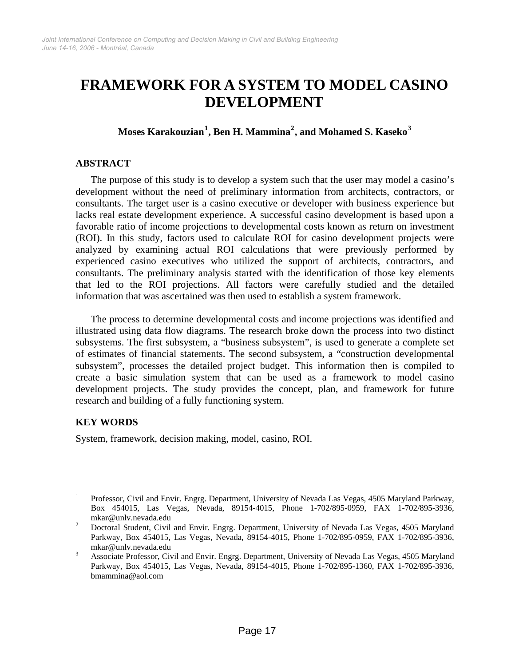# **FRAMEWORK FOR A SYSTEM TO MODEL CASINO DEVELOPMENT**

# **Moses Karakouzian[1](#page-0-0) , Ben H. Mammina[2](#page-0-1) , and Mohamed S. Kaseko[3](#page-0-2)**

## **ABSTRACT**

The purpose of this study is to develop a system such that the user may model a casino's development without the need of preliminary information from architects, contractors, or consultants. The target user is a casino executive or developer with business experience but lacks real estate development experience. A successful casino development is based upon a favorable ratio of income projections to developmental costs known as return on investment (ROI). In this study, factors used to calculate ROI for casino development projects were analyzed by examining actual ROI calculations that were previously performed by experienced casino executives who utilized the support of architects, contractors, and consultants. The preliminary analysis started with the identification of those key elements that led to the ROI projections. All factors were carefully studied and the detailed information that was ascertained was then used to establish a system framework.

The process to determine developmental costs and income projections was identified and illustrated using data flow diagrams. The research broke down the process into two distinct subsystems. The first subsystem, a "business subsystem", is used to generate a complete set of estimates of financial statements. The second subsystem, a "construction developmental subsystem", processes the detailed project budget. This information then is compiled to create a basic simulation system that can be used as a framework to model casino development projects. The study provides the concept, plan, and framework for future research and building of a fully functioning system.

# **KEY WORDS**

System, framework, decision making, model, casino, ROI.

<span id="page-0-0"></span> $\frac{1}{1}$  Professor, Civil and Envir. Engrg. Department, University of Nevada Las Vegas, 4505 Maryland Parkway, Box 454015, Las Vegas, Nevada, 89154-4015, Phone 1-702/895-0959, FAX 1-702/895-3936, mkar@unlv.nevada.edu<br><sup>2</sup> Dectand Student Civil

<span id="page-0-1"></span>Doctoral Student, Civil and Envir. Engrg. Department, University of Nevada Las Vegas, 4505 Maryland Parkway, Box 454015, Las Vegas, Nevada, 89154-4015, Phone 1-702/895-0959, FAX 1-702/895-3936, mkar@unlv.nevada.edu

<span id="page-0-2"></span>Associate Professor, Civil and Envir. Engrg. Department, University of Nevada Las Vegas, 4505 Maryland Parkway, Box 454015, Las Vegas, Nevada, 89154-4015, Phone 1-702/895-1360, FAX 1-702/895-3936, bmammina@aol.com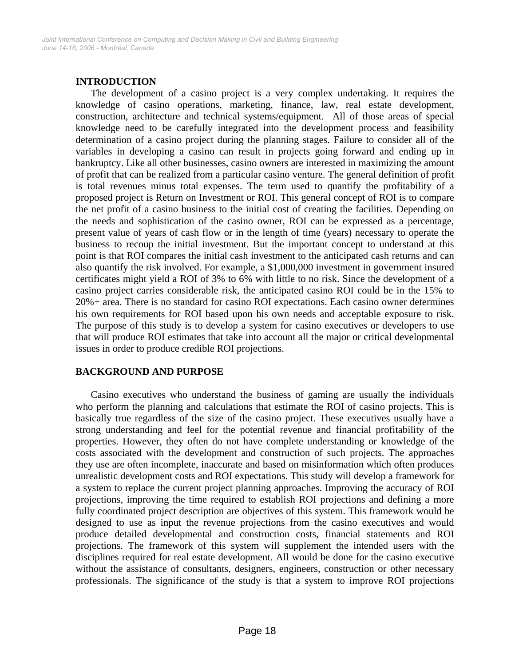# **INTRODUCTION**

 The development of a casino project is a very complex undertaking. It requires the knowledge of casino operations, marketing, finance, law, real estate development, construction, architecture and technical systems/equipment. All of those areas of special knowledge need to be carefully integrated into the development process and feasibility determination of a casino project during the planning stages. Failure to consider all of the variables in developing a casino can result in projects going forward and ending up in bankruptcy. Like all other businesses, casino owners are interested in maximizing the amount of profit that can be realized from a particular casino venture. The general definition of profit is total revenues minus total expenses. The term used to quantify the profitability of a proposed project is Return on Investment or ROI. This general concept of ROI is to compare the net profit of a casino business to the initial cost of creating the facilities. Depending on the needs and sophistication of the casino owner, ROI can be expressed as a percentage, present value of years of cash flow or in the length of time (years) necessary to operate the business to recoup the initial investment. But the important concept to understand at this point is that ROI compares the initial cash investment to the anticipated cash returns and can also quantify the risk involved. For example, a \$1,000,000 investment in government insured certificates might yield a ROI of 3% to 6% with little to no risk. Since the development of a casino project carries considerable risk, the anticipated casino ROI could be in the 15% to 20%+ area. There is no standard for casino ROI expectations. Each casino owner determines his own requirements for ROI based upon his own needs and acceptable exposure to risk. The purpose of this study is to develop a system for casino executives or developers to use that will produce ROI estimates that take into account all the major or critical developmental issues in order to produce credible ROI projections.

# **BACKGROUND AND PURPOSE**

 Casino executives who understand the business of gaming are usually the individuals who perform the planning and calculations that estimate the ROI of casino projects. This is basically true regardless of the size of the casino project. These executives usually have a strong understanding and feel for the potential revenue and financial profitability of the properties. However, they often do not have complete understanding or knowledge of the costs associated with the development and construction of such projects. The approaches they use are often incomplete, inaccurate and based on misinformation which often produces unrealistic development costs and ROI expectations. This study will develop a framework for a system to replace the current project planning approaches. Improving the accuracy of ROI projections, improving the time required to establish ROI projections and defining a more fully coordinated project description are objectives of this system. This framework would be designed to use as input the revenue projections from the casino executives and would produce detailed developmental and construction costs, financial statements and ROI projections. The framework of this system will supplement the intended users with the disciplines required for real estate development. All would be done for the casino executive without the assistance of consultants, designers, engineers, construction or other necessary professionals. The significance of the study is that a system to improve ROI projections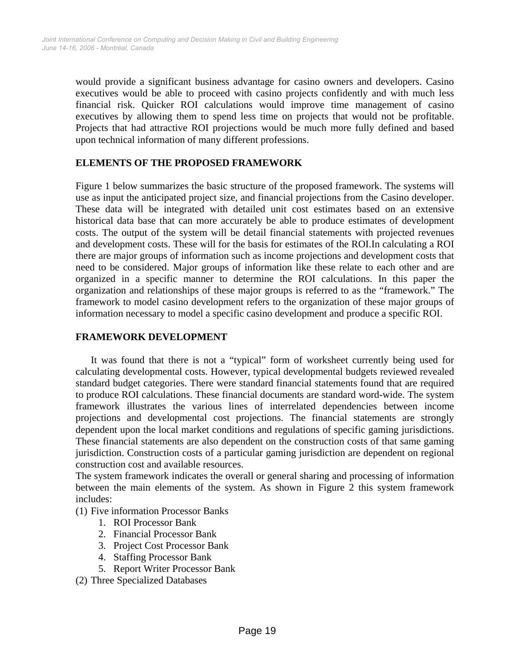would provide a significant business advantage for casino owners and developers. Casino executives would be able to proceed with casino projects confidently and with much less financial risk. Quicker ROI calculations would improve time management of casino executives by allowing them to spend less time on projects that would not be profitable. Projects that had attractive ROI projections would be much more fully defined and based upon technical information of many different professions.

## **ELEMENTS OF THE PROPOSED FRAMEWORK**

Figure 1 below summarizes the basic structure of the proposed framework. The systems will use as input the anticipated project size, and financial projections from the Casino developer. These data will be integrated with detailed unit cost estimates based on an extensive historical data base that can more accurately be able to produce estimates of development costs. The output of the system will be detail financial statements with projected revenues and development costs. These will for the basis for estimates of the ROI.In calculating a ROI there are major groups of information such as income projections and development costs that need to be considered. Major groups of information like these relate to each other and are organized in a specific manner to determine the ROI calculations. In this paper the organization and relationships of these major groups is referred to as the "framework." The framework to model casino development refers to the organization of these major groups of information necessary to model a specific casino development and produce a specific ROI.

## **FRAMEWORK DEVELOPMENT**

 It was found that there is not a "typical" form of worksheet currently being used for calculating developmental costs. However, typical developmental budgets reviewed revealed standard budget categories. There were standard financial statements found that are required to produce ROI calculations. These financial documents are standard word-wide. The system framework illustrates the various lines of interrelated dependencies between income projections and developmental cost projections. The financial statements are strongly dependent upon the local market conditions and regulations of specific gaming jurisdictions. These financial statements are also dependent on the construction costs of that same gaming jurisdiction. Construction costs of a particular gaming jurisdiction are dependent on regional construction cost and available resources.

The system framework indicates the overall or general sharing and processing of information between the main elements of the system. As shown in Figure 2 this system framework includes:

(1) Five information Processor Banks

- 1. ROI Processor Bank
- 2. Financial Processor Bank
- 3. Project Cost Processor Bank
- 4. Staffing Processor Bank
- 5. Report Writer Processor Bank
- (2) Three Specialized Databases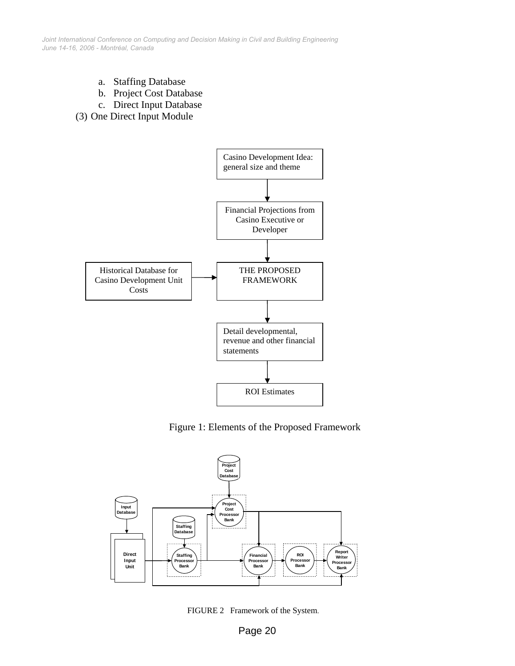*June 14-16, 2006 - Montréal, Canada Joint International Conference on Computing and Decision Making in Civil and Building Engineering*

- a. Staffing Database
- b. Project Cost Database
- c. Direct Input Database
- (3) One Direct Input Module



Figure 1: Elements of the Proposed Framework



FIGURE 2 Framework of the System.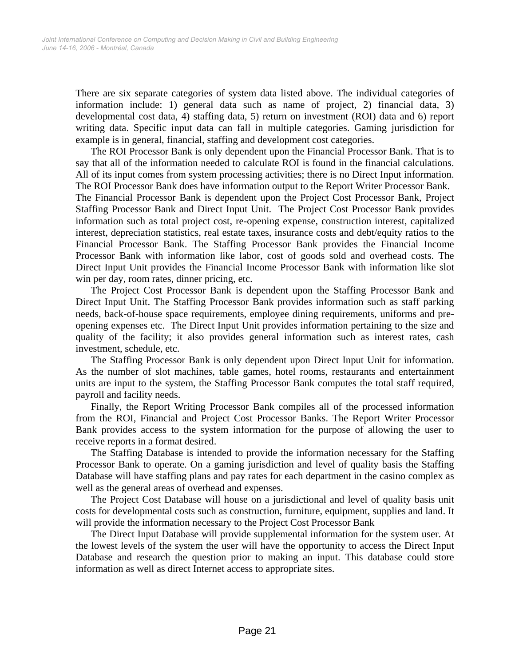There are six separate categories of system data listed above. The individual categories of information include: 1) general data such as name of project, 2) financial data, 3) developmental cost data, 4) staffing data, 5) return on investment (ROI) data and 6) report writing data. Specific input data can fall in multiple categories. Gaming jurisdiction for example is in general, financial, staffing and development cost categories.

 The ROI Processor Bank is only dependent upon the Financial Processor Bank. That is to say that all of the information needed to calculate ROI is found in the financial calculations. All of its input comes from system processing activities; there is no Direct Input information. The ROI Processor Bank does have information output to the Report Writer Processor Bank.

The Financial Processor Bank is dependent upon the Project Cost Processor Bank, Project Staffing Processor Bank and Direct Input Unit. The Project Cost Processor Bank provides information such as total project cost, re-opening expense, construction interest, capitalized interest, depreciation statistics, real estate taxes, insurance costs and debt/equity ratios to the Financial Processor Bank. The Staffing Processor Bank provides the Financial Income Processor Bank with information like labor, cost of goods sold and overhead costs. The Direct Input Unit provides the Financial Income Processor Bank with information like slot win per day, room rates, dinner pricing, etc.

 The Project Cost Processor Bank is dependent upon the Staffing Processor Bank and Direct Input Unit. The Staffing Processor Bank provides information such as staff parking needs, back-of-house space requirements, employee dining requirements, uniforms and preopening expenses etc. The Direct Input Unit provides information pertaining to the size and quality of the facility; it also provides general information such as interest rates, cash investment, schedule, etc.

 The Staffing Processor Bank is only dependent upon Direct Input Unit for information. As the number of slot machines, table games, hotel rooms, restaurants and entertainment units are input to the system, the Staffing Processor Bank computes the total staff required, payroll and facility needs.

 Finally, the Report Writing Processor Bank compiles all of the processed information from the ROI, Financial and Project Cost Processor Banks. The Report Writer Processor Bank provides access to the system information for the purpose of allowing the user to receive reports in a format desired.

 The Staffing Database is intended to provide the information necessary for the Staffing Processor Bank to operate. On a gaming jurisdiction and level of quality basis the Staffing Database will have staffing plans and pay rates for each department in the casino complex as well as the general areas of overhead and expenses.

 The Project Cost Database will house on a jurisdictional and level of quality basis unit costs for developmental costs such as construction, furniture, equipment, supplies and land. It will provide the information necessary to the Project Cost Processor Bank

 The Direct Input Database will provide supplemental information for the system user. At the lowest levels of the system the user will have the opportunity to access the Direct Input Database and research the question prior to making an input. This database could store information as well as direct Internet access to appropriate sites.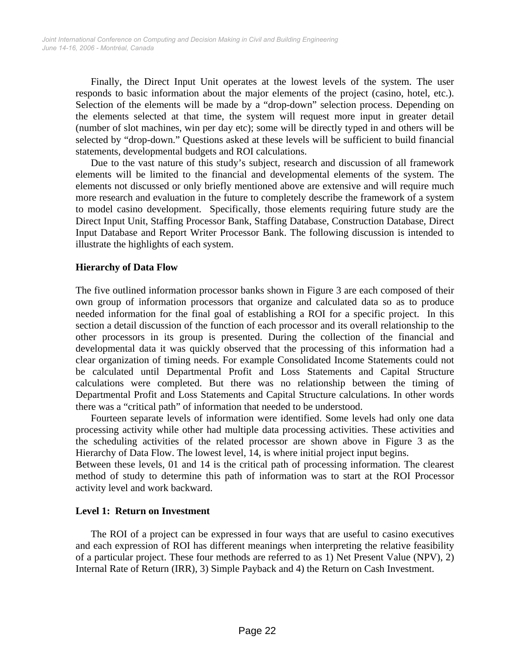Finally, the Direct Input Unit operates at the lowest levels of the system. The user responds to basic information about the major elements of the project (casino, hotel, etc.). Selection of the elements will be made by a "drop-down" selection process. Depending on the elements selected at that time, the system will request more input in greater detail (number of slot machines, win per day etc); some will be directly typed in and others will be selected by "drop-down." Questions asked at these levels will be sufficient to build financial statements, developmental budgets and ROI calculations.

Due to the vast nature of this study's subject, research and discussion of all framework elements will be limited to the financial and developmental elements of the system. The elements not discussed or only briefly mentioned above are extensive and will require much more research and evaluation in the future to completely describe the framework of a system to model casino development. Specifically, those elements requiring future study are the Direct Input Unit, Staffing Processor Bank, Staffing Database, Construction Database, Direct Input Database and Report Writer Processor Bank. The following discussion is intended to illustrate the highlights of each system.

#### **Hierarchy of Data Flow**

The five outlined information processor banks shown in Figure 3 are each composed of their own group of information processors that organize and calculated data so as to produce needed information for the final goal of establishing a ROI for a specific project. In this section a detail discussion of the function of each processor and its overall relationship to the other processors in its group is presented. During the collection of the financial and developmental data it was quickly observed that the processing of this information had a clear organization of timing needs. For example Consolidated Income Statements could not be calculated until Departmental Profit and Loss Statements and Capital Structure calculations were completed. But there was no relationship between the timing of Departmental Profit and Loss Statements and Capital Structure calculations. In other words there was a "critical path" of information that needed to be understood.

 Fourteen separate levels of information were identified. Some levels had only one data processing activity while other had multiple data processing activities. These activities and the scheduling activities of the related processor are shown above in Figure 3 as the Hierarchy of Data Flow. The lowest level, 14, is where initial project input begins.

Between these levels, 01 and 14 is the critical path of processing information. The clearest method of study to determine this path of information was to start at the ROI Processor activity level and work backward.

#### **Level 1: Return on Investment**

 The ROI of a project can be expressed in four ways that are useful to casino executives and each expression of ROI has different meanings when interpreting the relative feasibility of a particular project. These four methods are referred to as 1) Net Present Value (NPV), 2) Internal Rate of Return (IRR), 3) Simple Payback and 4) the Return on Cash Investment.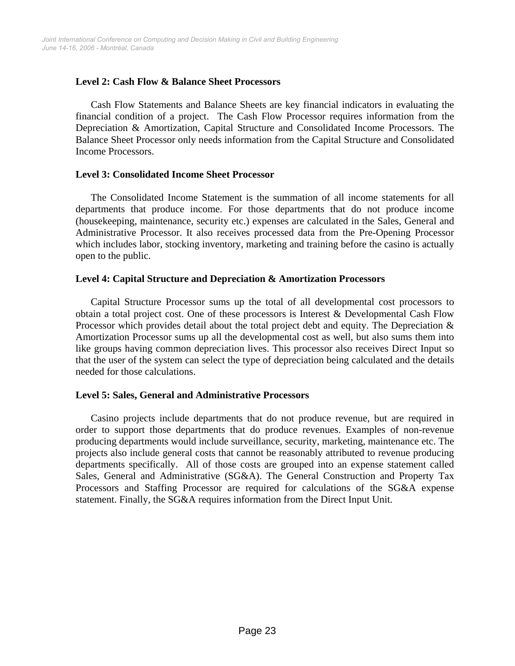## **Level 2: Cash Flow & Balance Sheet Processors**

 Cash Flow Statements and Balance Sheets are key financial indicators in evaluating the financial condition of a project. The Cash Flow Processor requires information from the Depreciation & Amortization, Capital Structure and Consolidated Income Processors. The Balance Sheet Processor only needs information from the Capital Structure and Consolidated Income Processors.

#### **Level 3: Consolidated Income Sheet Processor**

 The Consolidated Income Statement is the summation of all income statements for all departments that produce income. For those departments that do not produce income (housekeeping, maintenance, security etc.) expenses are calculated in the Sales, General and Administrative Processor. It also receives processed data from the Pre-Opening Processor which includes labor, stocking inventory, marketing and training before the casino is actually open to the public.

## **Level 4: Capital Structure and Depreciation & Amortization Processors**

 Capital Structure Processor sums up the total of all developmental cost processors to obtain a total project cost. One of these processors is Interest & Developmental Cash Flow Processor which provides detail about the total project debt and equity. The Depreciation & Amortization Processor sums up all the developmental cost as well, but also sums them into like groups having common depreciation lives. This processor also receives Direct Input so that the user of the system can select the type of depreciation being calculated and the details needed for those calculations.

# **Level 5: Sales, General and Administrative Processors**

 Casino projects include departments that do not produce revenue, but are required in order to support those departments that do produce revenues. Examples of non-revenue producing departments would include surveillance, security, marketing, maintenance etc. The projects also include general costs that cannot be reasonably attributed to revenue producing departments specifically. All of those costs are grouped into an expense statement called Sales, General and Administrative (SG&A). The General Construction and Property Tax Processors and Staffing Processor are required for calculations of the SG&A expense statement. Finally, the SG&A requires information from the Direct Input Unit.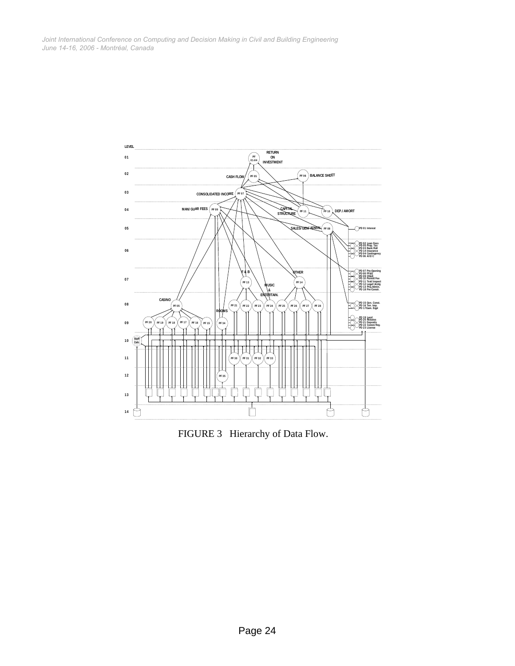

FIGURE 3 Hierarchy of Data Flow.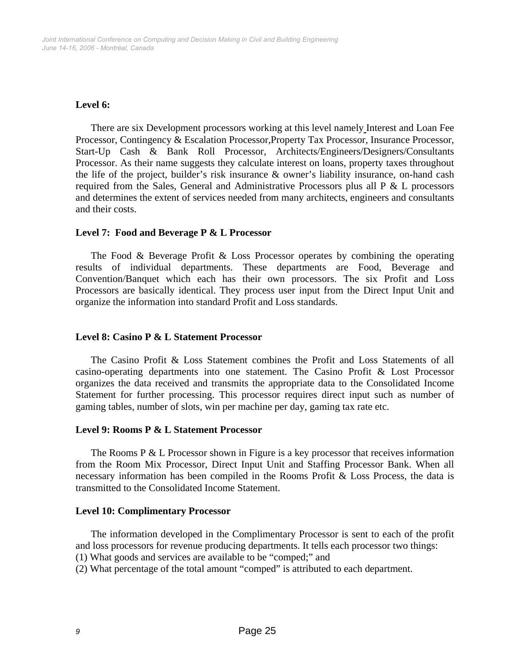## **Level 6:**

 There are six Development processors working at this level namely Interest and Loan Fee Processor, Contingency & Escalation Processor, Property Tax Processor, Insurance Processor, Start-Up Cash & Bank Roll Processor, Architects/Engineers/Designers/Consultants Processor. As their name suggests they calculate interest on loans, property taxes throughout the life of the project, builder's risk insurance & owner's liability insurance, on-hand cash required from the Sales, General and Administrative Processors plus all  $P \& L$  processors and determines the extent of services needed from many architects, engineers and consultants and their costs.

#### **Level 7: Food and Beverage P & L Processor**

 The Food & Beverage Profit & Loss Processor operates by combining the operating results of individual departments. These departments are Food, Beverage and Convention/Banquet which each has their own processors. The six Profit and Loss Processors are basically identical. They process user input from the Direct Input Unit and organize the information into standard Profit and Loss standards.

#### **Level 8: Casino P & L Statement Processor**

 The Casino Profit & Loss Statement combines the Profit and Loss Statements of all casino-operating departments into one statement. The Casino Profit & Lost Processor organizes the data received and transmits the appropriate data to the Consolidated Income Statement for further processing. This processor requires direct input such as number of gaming tables, number of slots, win per machine per day, gaming tax rate etc.

#### **Level 9: Rooms P & L Statement Processor**

The Rooms P & L Processor shown in Figure is a key processor that receives information from the Room Mix Processor, Direct Input Unit and Staffing Processor Bank. When all necessary information has been compiled in the Rooms Profit & Loss Process, the data is transmitted to the Consolidated Income Statement.

#### **Level 10: Complimentary Processor**

The information developed in the Complimentary Processor is sent to each of the profit and loss processors for revenue producing departments. It tells each processor two things:

(1) What goods and services are available to be "comped;" and

(2) What percentage of the total amount "comped" is attributed to each department.